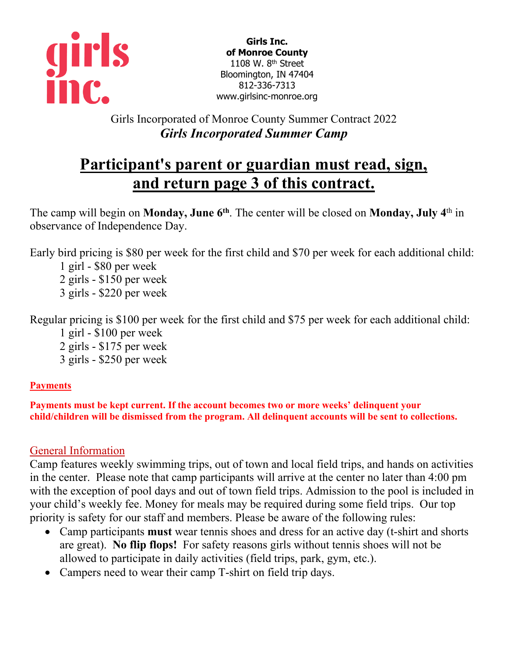

**Girls Inc. of Monroe County** 1108 W. 8<sup>th</sup> Street Bloomington, IN 47404 812-336-7313 www.girlsinc-monroe.org

Girls Incorporated of Monroe County Summer Contract 2022 *Girls Incorporated Summer Camp*

# **Participant's parent or guardian must read, sign, and return page 3 of this contract.**

The camp will begin on **Monday, June 6th**. The center will be closed on **Monday, July 4**th in observance of Independence Day.

Early bird pricing is \$80 per week for the first child and \$70 per week for each additional child:

1 girl - \$80 per week 2 girls - \$150 per week 3 girls - \$220 per week

Regular pricing is \$100 per week for the first child and \$75 per week for each additional child:

1 girl - \$100 per week

2 girls - \$175 per week

3 girls - \$250 per week

## **Payments**

**Payments must be kept current. If the account becomes two or more weeks' delinquent your child/children will be dismissed from the program. All delinquent accounts will be sent to collections.**

## General Information

Camp features weekly swimming trips, out of town and local field trips, and hands on activities in the center. Please note that camp participants will arrive at the center no later than 4:00 pm with the exception of pool days and out of town field trips. Admission to the pool is included in your child's weekly fee. Money for meals may be required during some field trips. Our top priority is safety for our staff and members. Please be aware of the following rules:

- Camp participants **must** wear tennis shoes and dress for an active day (t-shirt and shorts are great). **No flip flops!** For safety reasons girls without tennis shoes will not be allowed to participate in daily activities (field trips, park, gym, etc.).
- Campers need to wear their camp T-shirt on field trip days.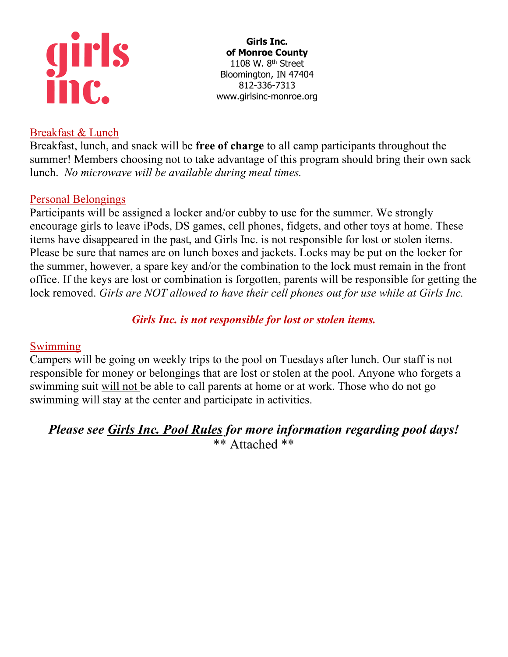

### **Girls Inc. of Monroe County** 1108 W. 8<sup>th</sup> Street Bloomington, IN 47404 812-336-7313 www.girlsinc-monroe.org

## Breakfast & Lunch

Breakfast, lunch, and snack will be **free of charge** to all camp participants throughout the summer! Members choosing not to take advantage of this program should bring their own sack lunch. *No microwave will be available during meal times.*

## Personal Belongings

Participants will be assigned a locker and/or cubby to use for the summer. We strongly encourage girls to leave iPods, DS games, cell phones, fidgets, and other toys at home. These items have disappeared in the past, and Girls Inc. is not responsible for lost or stolen items. Please be sure that names are on lunch boxes and jackets. Locks may be put on the locker for the summer, however, a spare key and/or the combination to the lock must remain in the front office. If the keys are lost or combination is forgotten, parents will be responsible for getting the lock removed. *Girls are NOT allowed to have their cell phones out for use while at Girls Inc.*

## *Girls Inc. is not responsible for lost or stolen items.*

### Swimming

Campers will be going on weekly trips to the pool on Tuesdays after lunch. Our staff is not responsible for money or belongings that are lost or stolen at the pool. Anyone who forgets a swimming suit will not be able to call parents at home or at work. Those who do not go swimming will stay at the center and participate in activities.

## *Please see Girls Inc. Pool Rules for more information regarding pool days!*  \*\* Attached \*\*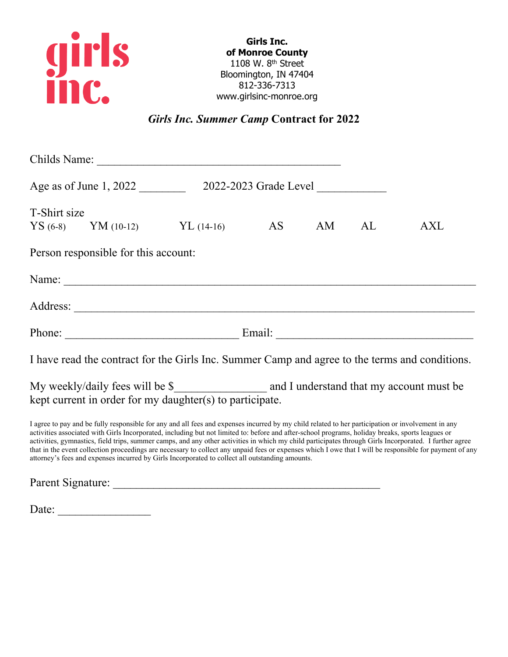

**Girls Inc. of Monroe County** 1108 W. 8th Street Bloomington, IN 47404 812-336-7313 www.girlsinc-monroe.org

*Girls Inc. Summer Camp* **Contract for 2022**

| T-Shirt size |                                      | YS (6-8) YM (10-12) YL (14-16) AS AM AL                                                        |  | AXL |
|--------------|--------------------------------------|------------------------------------------------------------------------------------------------|--|-----|
|              | Person responsible for this account: |                                                                                                |  |     |
|              |                                      |                                                                                                |  |     |
|              |                                      |                                                                                                |  |     |
|              |                                      |                                                                                                |  |     |
|              |                                      | I have read the contract for the Girls Inc. Summer Camp and agree to the terms and conditions. |  |     |
|              |                                      | kept current in order for my daughter(s) to participate.                                       |  |     |

I agree to pay and be fully responsible for any and all fees and expenses incurred by my child related to her participation or involvement in any activities associated with Girls Incorporated, including but not limited to: before and after-school programs, holiday breaks, sports leagues or activities, gymnastics, field trips, summer camps, and any other activities in which my child participates through Girls Incorporated. I further agree that in the event collection proceedings are necessary to collect any unpaid fees or expenses which I owe that I will be responsible for payment of any attorney's fees and expenses incurred by Girls Incorporated to collect all outstanding amounts.

Parent Signature:

Date: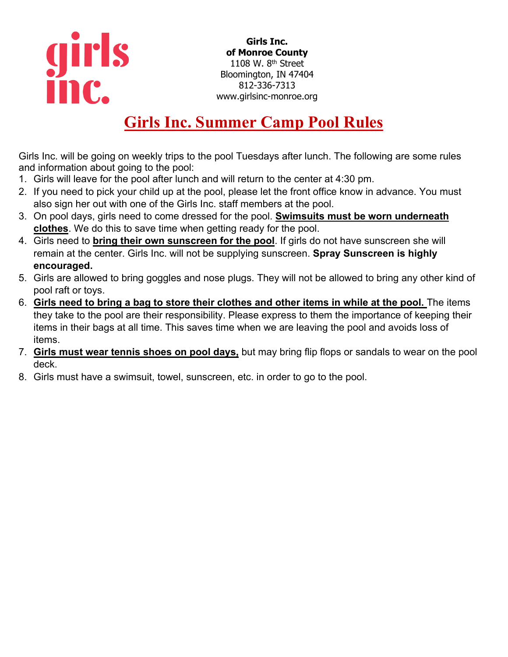

**Girls Inc. of Monroe County** 1108 W. 8th Street Bloomington, IN 47404 812-336-7313 www.girlsinc-monroe.org

# **Girls Inc. Summer Camp Pool Rules**

Girls Inc. will be going on weekly trips to the pool Tuesdays after lunch. The following are some rules and information about going to the pool:

- 1. Girls will leave for the pool after lunch and will return to the center at 4:30 pm.
- 2. If you need to pick your child up at the pool, please let the front office know in advance. You must also sign her out with one of the Girls Inc. staff members at the pool.
- 3. On pool days, girls need to come dressed for the pool. **Swimsuits must be worn underneath clothes**. We do this to save time when getting ready for the pool.
- 4. Girls need to **bring their own sunscreen for the pool**. If girls do not have sunscreen she will remain at the center. Girls Inc. will not be supplying sunscreen. **Spray Sunscreen is highly encouraged.**
- 5. Girls are allowed to bring goggles and nose plugs. They will not be allowed to bring any other kind of pool raft or toys.
- 6. **Girls need to bring a bag to store their clothes and other items in while at the pool.** The items they take to the pool are their responsibility. Please express to them the importance of keeping their items in their bags at all time. This saves time when we are leaving the pool and avoids loss of items.
- 7. **Girls must wear tennis shoes on pool days,** but may bring flip flops or sandals to wear on the pool deck.
- 8. Girls must have a swimsuit, towel, sunscreen, etc. in order to go to the pool.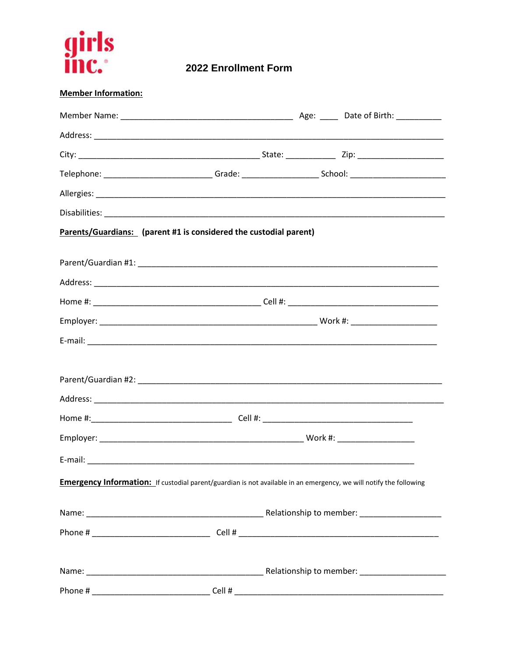

2022 Enrollment Form

| <b>Member Information:</b>                                                                                     |                                                                                                                                                                                                                                |  |
|----------------------------------------------------------------------------------------------------------------|--------------------------------------------------------------------------------------------------------------------------------------------------------------------------------------------------------------------------------|--|
|                                                                                                                |                                                                                                                                                                                                                                |  |
|                                                                                                                |                                                                                                                                                                                                                                |  |
|                                                                                                                |                                                                                                                                                                                                                                |  |
|                                                                                                                | Telephone: ___________________________Grade: __________________________School: ___________________________                                                                                                                     |  |
|                                                                                                                |                                                                                                                                                                                                                                |  |
|                                                                                                                |                                                                                                                                                                                                                                |  |
|                                                                                                                | Parents/Guardians: (parent #1 is considered the custodial parent)                                                                                                                                                              |  |
|                                                                                                                |                                                                                                                                                                                                                                |  |
|                                                                                                                |                                                                                                                                                                                                                                |  |
|                                                                                                                |                                                                                                                                                                                                                                |  |
|                                                                                                                |                                                                                                                                                                                                                                |  |
|                                                                                                                |                                                                                                                                                                                                                                |  |
|                                                                                                                |                                                                                                                                                                                                                                |  |
|                                                                                                                |                                                                                                                                                                                                                                |  |
|                                                                                                                |                                                                                                                                                                                                                                |  |
|                                                                                                                |                                                                                                                                                                                                                                |  |
|                                                                                                                |                                                                                                                                                                                                                                |  |
|                                                                                                                |                                                                                                                                                                                                                                |  |
|                                                                                                                | E-mail: E-mail: E-mail: E-mail: E-mail: E-mail: E-mail: E-mail: E-mail: E-mail: E-mail: E-mail: E-mail: E-mail: E-mail: E-mail: E-mail: E-mail: E-mail: E-mail: E-mail: E-mail: E-mail: E-mail: E-mail: E-mail: E-mail: E-mail |  |
|                                                                                                                |                                                                                                                                                                                                                                |  |
|                                                                                                                | <b>Emergency Information:</b> If custodial parent/guardian is not available in an emergency, we will notify the following                                                                                                      |  |
|                                                                                                                |                                                                                                                                                                                                                                |  |
|                                                                                                                |                                                                                                                                                                                                                                |  |
|                                                                                                                |                                                                                                                                                                                                                                |  |
|                                                                                                                |                                                                                                                                                                                                                                |  |
| Phone # 2008 2009 2012 2013 2014 2015 2016 2017 2018 2019 2017 2018 2019 2017 2018 2019 2019 2019 2017 2017 20 | Cell #                                                                                                                                                                                                                         |  |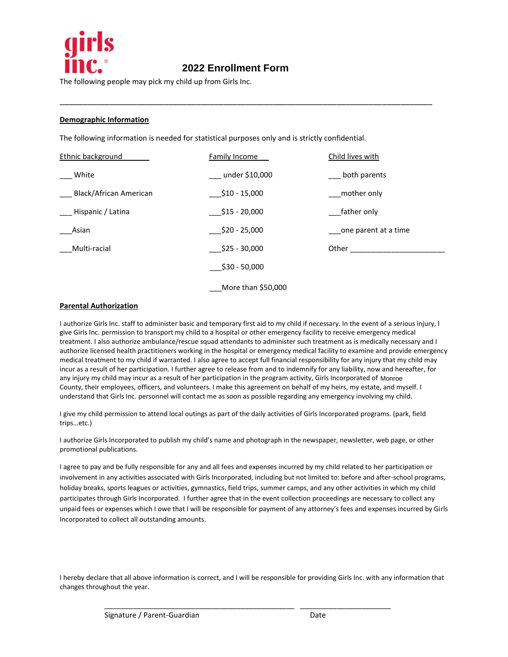

## 2020 Enrollment Form **2021 Enrollment Form 2022 Enrollment Form**

\_\_\_\_\_\_\_\_\_\_\_\_\_\_\_\_\_\_\_\_\_\_\_\_\_\_\_\_\_\_\_\_\_\_\_\_\_\_\_\_\_\_\_\_\_\_\_\_\_\_\_\_\_\_\_\_\_\_\_\_\_\_\_\_\_\_\_\_\_\_\_\_\_\_\_\_\_\_\_\_\_\_

The following people may pick my child up from Girls Inc.

#### **Demographic Information**

The following information is needed for statistical purposes only and is strictly confidential.

| Ethnic background      | <b>Family Income</b> | Child lives with     |
|------------------------|----------------------|----------------------|
| White                  | __ under \$10,000    | both parents         |
| Black/African American | \$10 - 15,000        | mother only          |
| Hispanic / Latina      | $\_$ \$15 - 20,000   | father only          |
| Asian                  | $$20 - 25,000$       | one parent at a time |
| Multi-racial           | $$25 - 30,000$       | Other                |
|                        | $$30 - 50,000$       |                      |
|                        | More than \$50,000   |                      |

#### **Parental Authorization**

I authorize Girls Inc. staff to administer basic and temporary first aid to my child if necessary. In the event of a serious injury, I give Girls Inc. permission to transport my child to a hospital or other emergency facility to receive emergency medical treatment. I also authorize ambulance/rescue squad attendants to administer such treatment as is medically necessary and I authorize licensed health practitioners working in the hospital or emergency medical facility to examine and provide emergency medical treatment to my child if warranted. I also agree to accept full financial responsibility for any injury that my child may incur as a result of her participation. I further agree to release from and to indemnify for any liability, now and hereafter, for any injury my child may incur as a result of her participation in the program activity, Girls Incorporated of Monroe County, their employees, officers, and volunteers. I make this agreement on behalf of my heirs, my estate, and myself. I understand that Girls Inc. personnel will contact me as soon as possible regarding any emergency involving my child.

I give my child permission to attend local outings as part of the daily activities of Girls Incorporated programs. (park, field trips…etc.)

I authorize Girls Incorporated to publish my child's name and photograph in the newspaper, newsletter, web page, or other promotional publications.

I agree to pay and be fully responsible for any and all fees and expenses incurred by my child related to her participation or involvement in any activities associated with Girls Incorporated, including but not limited to: before and after-school programs, holiday breaks, sports leagues or activities, gymnastics, field trips, summer camps, and any other activities in which my child participates through Girls Incorporated. I further agree that in the event collection proceedings are necessary to collect any unpaid fees or expenses which I owe that I will be responsible for payment of any attorney's fees and expenses incurred by Girls Incorporated to collect all outstanding amounts.

I hereby declare that all above information is correct, and I will be responsible for providing Girls Inc. with any information that changes throughout the year.

\_\_\_\_\_\_\_\_\_\_\_\_\_\_\_\_\_\_\_\_\_\_\_\_\_\_\_\_\_\_\_\_\_\_\_\_\_\_\_\_\_\_\_\_\_\_ \_\_\_\_\_\_\_\_\_\_\_\_\_\_\_\_\_\_\_\_\_\_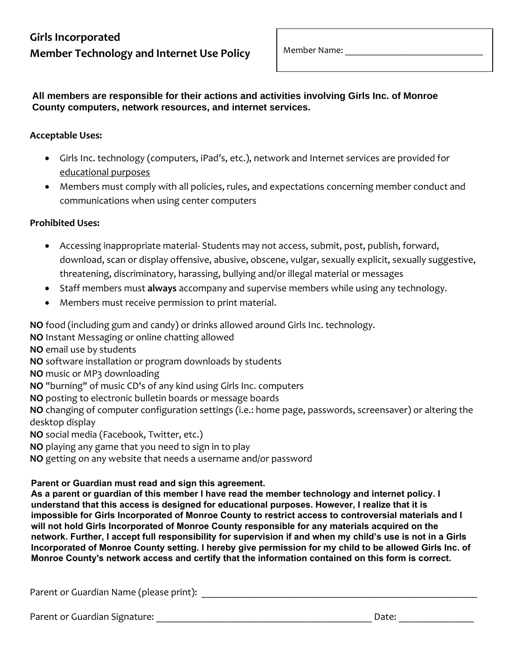# **Girls Incorporated Member Technology and Internet Use Policy**

Member Name:

All members are responsible for their actions and activities involving Girls Inc. of Monroe **County computers, network resources, and internet services.** 

### **Acceptable Uses:**

- Girls Inc. technology (computers, iPad's, etc.), network and Internet services are provided for educational purposes
- Members must comply with all policies, rules, and expectations concerning member conduct and communications when using center computers

### **Prohibited Uses:**

- Accessing inappropriate material- Students may not access, submit, post, publish, forward, download, scan or display offensive, abusive, obscene, vulgar, sexually explicit, sexually suggestive, threatening, discriminatory, harassing, bullying and/or illegal material or messages
- Staff members must **always** accompany and supervise members while using any technology.
- Members must receive permission to print material.

**NO** food (including gum and candy) or drinks allowed around Girls Inc. technology.

**NO** Instant Messaging or online chatting allowed

**NO** email use by students

**NO** software installation or program downloads by students

**NO** music or MP3 downloading

**NO** "burning" of music CD's of any kind using Girls Inc. computers

**NO** posting to electronic bulletin boards or message boards

**NO** changing of computer configuration settings (i.e.: home page, passwords, screensaver) or altering the desktop display

**NO** social media (Facebook, Twitter, etc.)

**NO** playing any game that you need to sign in to play

**NO** getting on any website that needs a username and/or password

### Parent or Guardian must read and sign this agreement. **As a participal of the member of the read and sign this agreement.**

As a parent or guardian of this member I have read the member technology and internet policy. I understand that this access is designed for educational purposes. However, I realize that it is **understand that it is** mipossible for Girls incorporated of Monroe County to restrict access to controversial materials and **I**<br>will not hold Girls Incorporated of Monroe County responsible for any materials acquired on the network. Further, I accept full responsibility for supervision if and when my child's use is not in a Girls **Incorporated of Monroe County setting. I hereby give permission for my child to be allowed Girls Inc. of**  $\blacksquare$ Monroe County's network access and certify that the information contained on this form is correct. **impossible for Girls Incorporated of Monroe County to restrict access to controversial materials and I** 

Parent or Guardian Name (please print): **Example 2018** 

Parent or Guardian Signature: \_\_\_\_\_\_\_\_\_\_\_\_\_\_\_\_\_\_\_\_\_\_\_\_\_\_\_\_\_\_\_\_\_\_\_\_\_\_\_\_\_\_\_ Date: \_\_\_\_\_\_\_\_\_\_\_\_\_\_\_